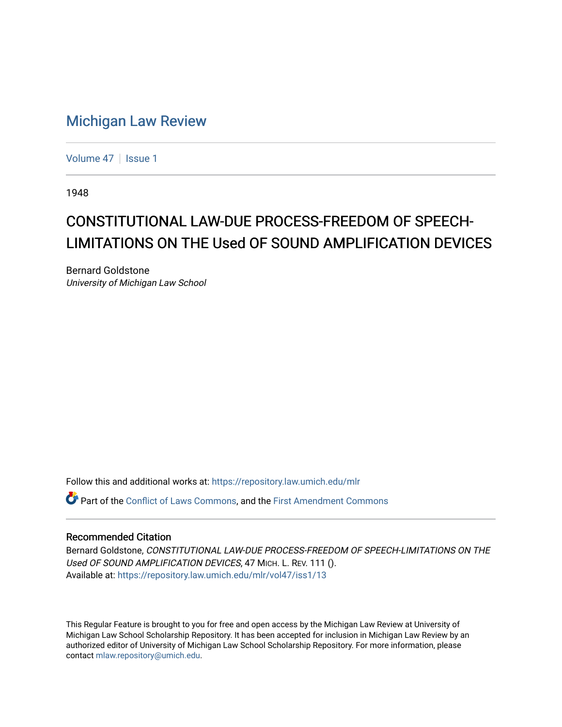## [Michigan Law Review](https://repository.law.umich.edu/mlr)

[Volume 47](https://repository.law.umich.edu/mlr/vol47) | [Issue 1](https://repository.law.umich.edu/mlr/vol47/iss1)

1948

## CONSTITUTIONAL LAW-DUE PROCESS-FREEDOM OF SPEECH-LIMITATIONS ON THE Used OF SOUND AMPLIFICATION DEVICES

Bernard Goldstone University of Michigan Law School

Follow this and additional works at: [https://repository.law.umich.edu/mlr](https://repository.law.umich.edu/mlr?utm_source=repository.law.umich.edu%2Fmlr%2Fvol47%2Fiss1%2F13&utm_medium=PDF&utm_campaign=PDFCoverPages) 

Part of the [Conflict of Laws Commons,](http://network.bepress.com/hgg/discipline/588?utm_source=repository.law.umich.edu%2Fmlr%2Fvol47%2Fiss1%2F13&utm_medium=PDF&utm_campaign=PDFCoverPages) and the [First Amendment Commons](http://network.bepress.com/hgg/discipline/1115?utm_source=repository.law.umich.edu%2Fmlr%2Fvol47%2Fiss1%2F13&utm_medium=PDF&utm_campaign=PDFCoverPages)

## Recommended Citation

Bernard Goldstone, CONSTITUTIONAL LAW-DUE PROCESS-FREEDOM OF SPEECH-LIMITATIONS ON THE Used OF SOUND AMPLIFICATION DEVICES, 47 MICH. L. REV. 111 (). Available at: [https://repository.law.umich.edu/mlr/vol47/iss1/13](https://repository.law.umich.edu/mlr/vol47/iss1/13?utm_source=repository.law.umich.edu%2Fmlr%2Fvol47%2Fiss1%2F13&utm_medium=PDF&utm_campaign=PDFCoverPages) 

This Regular Feature is brought to you for free and open access by the Michigan Law Review at University of Michigan Law School Scholarship Repository. It has been accepted for inclusion in Michigan Law Review by an authorized editor of University of Michigan Law School Scholarship Repository. For more information, please contact [mlaw.repository@umich.edu](mailto:mlaw.repository@umich.edu).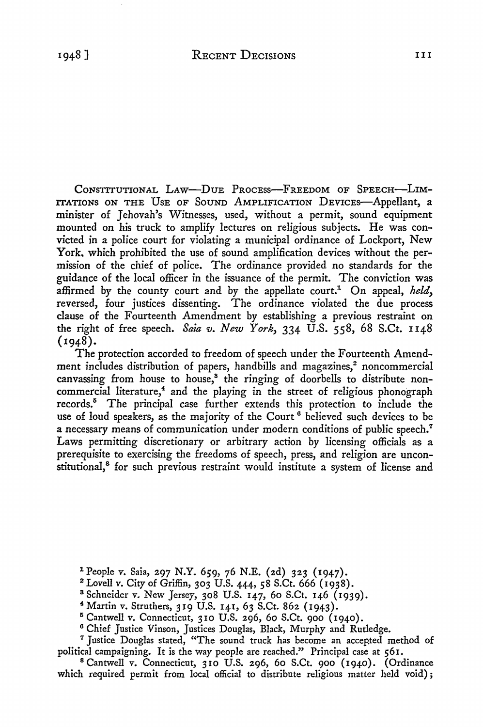1948]

CONSTITUTIONAL LAW-DUE PROCESS-FREEDOM OF SPEECH-LIM-ITATIONS ON THE USE OF SOUND AMPLIFICATION DEVICES-Appellant, a minister of Jehovah's Witnesses, used, without a permit, sound equipment mounted on his truck to amplify lectures on religious subjects. He was convicted in a police court for violating a municipal ordinance of Lockport, New York. which prohibited the use of sound amplification devices without the permission of the chief of police. The ordinance provided no standards for the guidance of the local officer in the issuance of the permit. The conviction was affirmed by the county court and by the appellate court.<sup>1</sup> On appeal, *held*, reversed, four justices dissenting. The ordinance violated the due process clause of the Fourteenth Amendment by establishing a previous restraint on the right of free speech. *Saia v. New York,* 334 U.S. 558, 68 S.Ct. 1148 (1948).

The protection accorded to freedom of speech under the Fourteenth Amendment includes distribution of papers, handbills and magazines,<sup>2</sup> noncommercial canvassing from house to house,<sup>3</sup> the ringing of doorbells to distribute noncommercial literature,<sup>4</sup> and the playing in the street of religious phonograph records.<sup>8</sup> The principal case further extends this protection to include the use of loud speakers, as the majority of the Court<sup>6</sup> believed such devices to be a necessary means of communication under modern conditions of public speech.<sup>7</sup> Laws permitting discretionary or arbitrary action by licensing officials as a prerequisite to exercising the freedoms of speech, press, and religion are unconstitutional,<sup>8</sup> for such previous restraint would institute a system of license and

- 1 People v. Saia, 297 N.Y. 659, 76 N.E. (2d) 323 (1947).
- 2 Lovell v. City of Griffin, 303 U.S. 444, 58 S.Ct. 666 (1938).
- <sup>3</sup>Schneider v. New Jersey, 308 U.S. 147, 60 S.Ct. 146 (1939).
- <sup>~</sup>Martin v. Struthers, 319 U.S. 141, 63 S.Ct. 862 (1943).
- $5$  Cantwell v. Connecticut, 310 U.S. 296, 60 S.Ct. 900 (1940).
- 6 Chief Justice Vinson, Justices Douglas, Black, Murphy and Rutledge.
- <sup>7</sup> Justice Douglas stated, "The sound truck has become an accepted method of political campaigning. It is the way people are reached." Principal case at 561.
- <sup>8</sup>Cantwell v. Connecticut, 310 U.S. 296, 60 S.Ct. 900 (1940). (Ordinance which required permit from local official to distribute religious matter held void};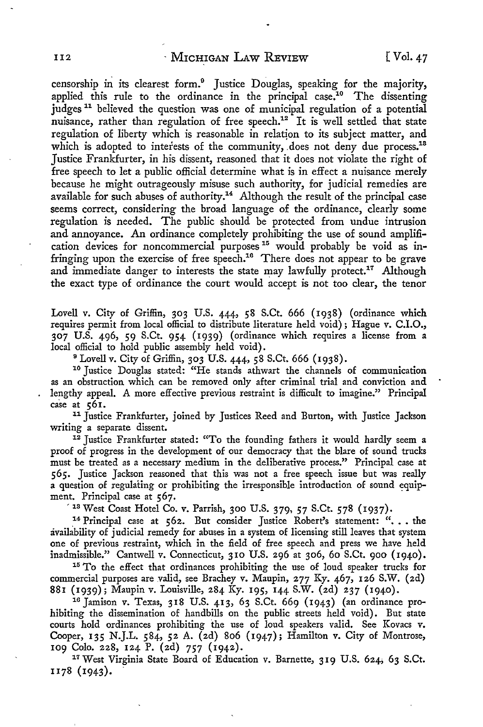censorship in its clearest form.<sup>9</sup> Justice Douglas, speaking for the majority, applied this rule to the ordinance in the principal case.<sup>10</sup> The dissenting judges<sup>11</sup> believed the question was one of municipal regulation of a potential nuisance, rather than regulation of free speech.<sup>12</sup> It is well settled that state regulation of liberty which is reasonable in relation to its subject matter, and which is adopted to interests of the community, does not deny due process.<sup>18</sup> Justice Frankfurter, in his dissent, reasoned that it does not violate the right of free speech to let a public official determine what is in effect a nuisance merely because he might outrageously misuse such authority, for judicial remedies are available for such abuses of authority.<sup>14</sup> Although the result of the principal case seems correct, considering the broad language of the ordinance, clearly some regulation is needed. The public should be protected from undue intrusion and annoyance. An ordinance completely prohibiting the use of sound amplification devices for noncommercial purposes  $15$  would probably be void as infringing upon the exercise of free speech.<sup>16</sup> There does not appear to be grave and immediate danger to interests the state may lawfully protect.<sup>17</sup> Although the exact type of ordinance the court would accept is not too clear, the tenor

Lovell v. City of Griffin, 303 U.S. 444, 58 S.Ct. 666 (1938) (ordinance which requires permit from local official to distribute literature held void) ; Hague v. C.l.O., 307 U.S. 496, 59 S.Ct. 954 (1939) (ordinance which requires a license from a local official to hold public assembly held void).

<sup>9</sup> Lovell v. City of Griffin, 303 U.S. 444, 58 S.Ct. 666 (1938).<br><sup>10</sup> Justice Douglas stated: "He stands athwart the channels of communication as an obstruction which can be removed only after criminal trial and conviction and lengthy appeal. A more effective previous restraint is difficult to imagine." Principal case at 561.

<sup>11</sup> Justice Frankfurter, joined by Justices Reed and Burton, with Justice Jackson writing a separate dissent.<br><sup>12</sup> Justice Frankfurter stated: "To the founding fathers it would hardly seem a

proof of progress in the development of our democracy that the blare of sound trucks must be treated as a necessary medium in the deliberative process." Principal case at *565.* Justice Jackson reasoned that this was not a free speech issue but was really a question of regulating or prohibiting the irresponsible introduction of sound equipment. Principal case at 567.

<sup>13</sup> West Coast Hotel Co. v. Parrish, 300 U.S. 379, 57 S.Ct. 578 (1937).

<sup>14</sup> Principal case at 562. But consider Justice Robert's statement: "... the availability of judicial remedy for abuses in a system of licensing still leaves that system one of previous restraint, which in the field of free speech and press we have held inadmissible." Cantwell v. Connecticut, 310 U.S. 296 at 306, 60 S.Ct. 900 (1940).<br><sup>15</sup> To the effect that ordinances prohibiting the use of loud speaker trucks for

commercial purposes are valid, see Brachey v. Maupin, 277 Ky. 467, 126 S.W. (2d)

881 (1939); Maupin v. Louisville, 284 Ky. 195, 144 S.W. (2d) 237 (1940).<br><sup>16</sup> Jamison v. Texas, 318 U.S. 413, 63 S.Ct. 669 (1943) (an ordinance prohibiting the dissemination of handbills on the public streets held void). But state courts hold ordinances prohibiting the use of loud speakers valid. See Kovacs v. Cooper, 135 N.J.L. 584, 52 A. (2d) 806 (1947); Hamilton v. City of Montrose, 109 Colo. 228, 124 P. (2d) *757* (1942).

<sup>17</sup> West Virginia State Board of Education v. Barnette, 319 U.S. 624; 63 S.Ct. 1178 (1943). .